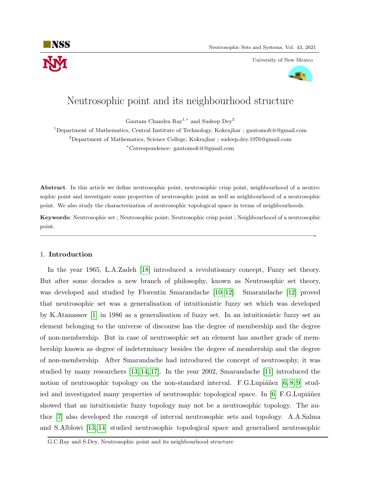

University of New Mexico



# Neutrosophic point and its neighbourhood structure

Gautam Chandra Ray<sup>1,∗</sup> and Sudeep Dey<sup>2</sup>

<sup>1</sup>Department of Mathematics, Central Institute of Technology, Kokrajhar ; gautomofcit@gmail.com  $^{2}$ Department of Mathematics, Science College, Kokrajhar ; sudeep.dey.1976@gmail.com <sup>∗</sup>Correspondence: gautomofcit@gmail.com

Abstract. In this article we define neutrosophic point, neutrosophic crisp point, neighbourhood of a neutrosophic point and investigate some properties of neutrosophic point as well as neighbourhood of a neutrosophic point. We also study the characterization of neutrosophic topological space in terms of neighbourhoods.

Keywords: Neutrosophic set ; Neutrosophic point; Neutrosophic crisp point ; Neighbourhood of a neutrosophic point.

—————————————————————————————————————————-

## 1. Introduction

In the year 1965, L.A.Zadeh [\[18\]](#page-12-0) introduced a revolutionary concept, Fuzzy set theory. But after some decades a new branch of philosophy, known as Neutrosophic set theory, was developed and studied by Florentin Smarandache [\[10–](#page-11-0)[12\]](#page-11-1). Smarandache [\[12\]](#page-11-1) proved that neutrosophic set was a generalisation of intuitionistic fuzzy set which was developed by K.Atanassov [\[1\]](#page-11-2) in 1986 as a generalisation of fuzzy set. In an intuitionistic fuzzy set an element belonging to the universe of discourse has the degree of membership and the degree of non-membership. But in case of neutrosophic set an element has another grade of membership known as degree of indeterminacy besides the degree of membership and the degree of non-membership. After Smarandache had introduced the concept of neutrosophy, it was studied by many researchers [\[13,](#page-11-3) [14,](#page-11-4) [17\]](#page-12-1). In the year 2002, Smarandache [\[11\]](#page-11-5) introduced the notion of neutrosophic topology on the non-standard interval. F.G.Lupiánez  $[6, 8, 9]$  $[6, 8, 9]$  $[6, 8, 9]$  studied and investigated many properties of neutrosophic topological space. In  $[6]$  F.G. Lupiáñez showed that an intuitionistic fuzzy topology may not be a neutrosophic topology. The author [\[7\]](#page-11-9) also developed the concept of interval neutrosophic sets and topology. A.A.Salma and S.Alblowi [\[13,](#page-11-3) [14\]](#page-11-4) studied neutrosophic topological space and generalised neutrosophic

G.C.Ray and S.Dey, Neutrosophic point and its neighbourhood structure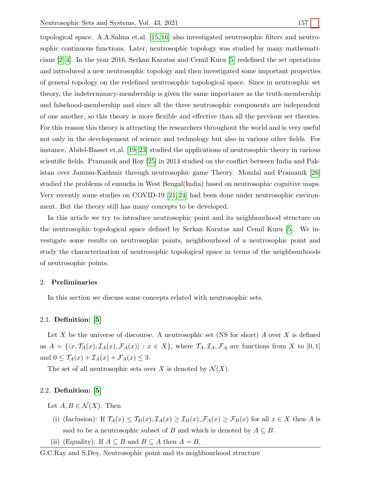topological space. A.A.Salma et.al. [\[15,](#page-11-10) [16\]](#page-11-11) also investigated neutrosophic filters and neutrosophic continuous functions. Later, neutrosophic topology was studied by many mathematicians [\[2–](#page-11-12)[4\]](#page-11-13). In the year 2016, Serkan Karatas and Cemil Kuru [\[5\]](#page-11-14) redefined the set operations and introduced a new neutrosophic topology and then investigated some important properties of general topology on the redefined neutrosophic topological space. Since in neutrosphic set theory, the indeterminacy-membership is given the same importance as the truth-membership and falsehood-membership and since all the three neutrosophic components are independent of one another, so this theory is more flexible and effective than all the previous set theories. For this reason this theory is attracting the researchers throughout the world and is very useful not only in the developement of science and technology but also in various other fields. For instance, Abdel-Basset et.al. [\[19–](#page-12-2)[23\]](#page-12-3) studied the applications of neutrosophic theory in various scientific fields. Pramanik and Roy [\[25\]](#page-12-4) in 2014 studied on the conflict between India and Pakistan over Jammu-Kashmir through neutrosophic game Theory. Mondal and Pramanik [\[26\]](#page-12-5) studied the problems of eunuchs in West Bengal(India) based on neutrosophic cognitive maps. Very recently some studies on COVID-19 [\[21,](#page-12-6) [24\]](#page-12-7) had been done under neutrosophic environment. But the theory still has many concepts to be developed.

In this article we try to introduce neutrosophic point and its neighbourhood structure on the neutrosophic topological space defined by Serkan Karatas and Cemil Kuru [\[5\]](#page-11-14). We investigate some results on neutrosophic points, neighbourhood of a neutrosophic point and study the characterization of neutrosophic topological space in terms of the neighbourhoods of neutrosophic points.

## 2. Preliminaries

In this section we discuss some concepts related with neutrosophic sets.

## 2.1. Definition: [\[5\]](#page-11-14)

Let X be the universe of discourse. A neutrosophic set (NS for short) A over X is defined as  $A = \{\langle x, \mathcal{T}_A(x), \mathcal{I}_A(x), \mathcal{F}_A(x)\rangle : x \in X\}$ , where  $\mathcal{T}_A, \mathcal{I}_A, \mathcal{F}_A$  are functions from X to [0, 1] and  $0 \leq \mathcal{T}_A(x) + \mathcal{I}_A(x) + \mathcal{F}_A(x) \leq 3.$ 

The set of all neutrosophic sets over X is denoted by  $\mathcal{N}(X)$ .

## 2.2. Definition: [\[5\]](#page-11-14)

Let  $A, B \in \mathcal{N}(X)$ . Then

- (i) (Inclusion): If  $\mathcal{T}_A(x) \leq \mathcal{T}_B(x)$ ,  $\mathcal{I}_A(x) \geq \mathcal{I}_B(x)$ ,  $\mathcal{F}_A(x) \geq \mathcal{F}_B(x)$  for all  $x \in X$  then A is said to be a neutrosophic subset of B and which is denoted by  $A \subseteq B$ .
- (ii) (Equality): If  $A \subseteq B$  and  $B \subseteq A$  then  $A = B$ .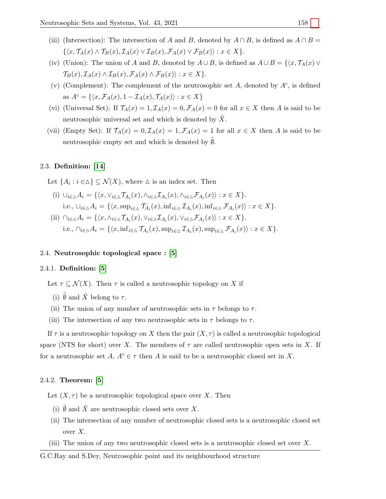- (iii) (Intersection): The intersection of A and B, denoted by  $A \cap B$ , is defined as  $A \cap B =$  $\{\langle x, \mathcal{T}_A(x) \wedge \mathcal{T}_B(x), \mathcal{I}_A(x) \vee \mathcal{I}_B(x), \mathcal{F}_A(x) \vee \mathcal{F}_B(x)\rangle : x \in X\}.$
- (iv) (Union): The union of A and B, denoted by  $A \cup B$ , is defined as  $A \cup B = \{x, \mathcal{T}_A(x) \vee \mathcal{T}_C(x) \mid x \in A\}$  $\mathcal{T}_B(x), \mathcal{I}_A(x) \wedge \mathcal{I}_B(x), \mathcal{F}_A(x) \wedge \mathcal{F}_B(x) \rangle : x \in X$ .
- (v) (Complement): The complement of the neutrosophic set A, denoted by  $A<sup>c</sup>$ , is defined as  $A^c = \{ \langle x, \mathcal{F}_A(x), 1 - \mathcal{I}_A(x), \mathcal{T}_A(x) \rangle : x \in X \}$
- (vi) (Universal Set): If  $\mathcal{T}_A(x) = 1, \mathcal{I}_A(x) = 0, \mathcal{F}_A(x) = 0$  for all  $x \in X$  then A is said to be neutrosophic universal set and which is denoted by  $\overline{X}$ .
- (vii) (Empty Set): If  $\mathcal{T}_A(x) = 0, \mathcal{I}_A(x) = 1, \mathcal{F}_A(x) = 1$  for all  $x \in X$  then A is said to be neutrosophic empty set and which is denoted by  $\emptyset$ .

## 2.3. Definition: [\[14\]](#page-11-4)

Let  $\{A_i : i \in \Delta\} \subset \mathcal{N}(X)$ , where  $\Delta$  is an index set. Then

- (i)  $\bigcup_{i\in \wedge} A_i = \{ \langle x, \vee_{i\in \wedge} \mathcal{T}_{A_i}(x), \wedge_{i\in \wedge} \mathcal{I}_{A_i}(x), \wedge_{i\in \wedge} \mathcal{F}_{A_i}(x) \rangle : x \in X \}.$ i.e.,  $\bigcup_{i\in\Delta} A_i = \{ \langle x, \sup_{i\in\Delta} \mathcal{T}_{A_i}(x), \inf_{i\in\Delta} \mathcal{I}_{A_i}(x), \inf_{i\in\Delta} \mathcal{F}_{A_i}(x) \rangle : x \in X \}.$
- (ii)  $\bigcap_{i\in\Delta}A_i = \{ \langle x, \wedge_{i\in\Delta}T_{A_i}(x), \vee_{i\in\Delta}\mathcal{I}_{A_i}(x), \vee_{i\in\Delta}\mathcal{F}_{A_i}(x) \rangle : x \in X \}.$ i.e.,  $\bigcap_{i\in\Delta} A_i = \{ \langle x, \inf_{i\in\Delta} \mathcal{T}_{A_i}(x), \sup_{i\in\Delta} \mathcal{I}_{A_i}(x), \sup_{i\in\Delta} \mathcal{F}_{A_i}(x) \rangle : x \in X \}.$

## 2.4. Neutrosophic topological space : [\[5\]](#page-11-14)

## 2.4.1. Definition: [\[5\]](#page-11-14)

Let  $\tau \subseteq \mathcal{N}(X)$ . Then  $\tau$  is called a neutrosophic topology on X if

- (i)  $\tilde{\emptyset}$  and  $\tilde{X}$  belong to  $\tau$ .
- (ii) The union of any number of neutrosophic sets in  $\tau$  belongs to  $\tau$ .
- (iii) The intersection of any two neutrosophic sets in  $\tau$  belongs to  $\tau$ .

If  $\tau$  is a neutrosophic topology on X then the pair  $(X, \tau)$  is called a neutrosophic topological space (NTS for short) over X. The members of  $\tau$  are called neutrosophic open sets in X. If for a neutrosophic set A,  $A^c \in \tau$  then A is said to be a neutrosophic closed set in X.

## 2.4.2. Theorem: [\[5\]](#page-11-14)

Let  $(X, \tau)$  be a neutrosophic topological space over X. Then

- (i)  $\tilde{\emptyset}$  and  $\tilde{X}$  are neutrosophic closed sets over  $X.$
- (ii) The intersection of any number of neutrosophic closed sets is a neutrosophic closed set over  $X$ .
- (iii) The union of any two neutrosophic closed sets is a neutrosophic closed set over  $X$ .

G.C.Ray and S.Dey, Neutrosophic point and its neighbourhood structure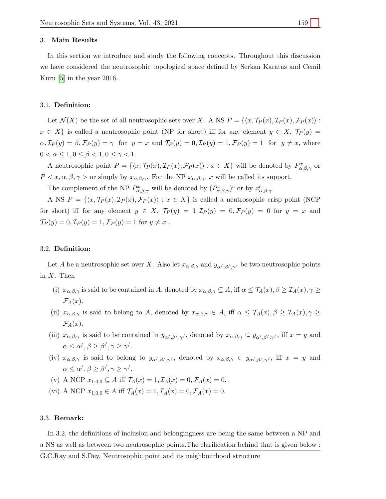#### 3. Main Results

In this section we introduce and study the following concepts. Throughout this discussion we have considered the neutrosophic topological space defined by Serkan Karatas and Cemil Kuru [\[5\]](#page-11-14) in the year 2016.

#### 3.1. Definition:

Let  $\mathcal{N}(X)$  be the set of all neutrosophic sets over X. A NS  $P = \{ \langle x, \mathcal{T}_P(x), \mathcal{I}_P(x), \mathcal{F}_P(x) \rangle :$  $x \in X$  is called a neutrosophic point (NP for short) iff for any element  $y \in X$ ,  $\mathcal{T}_P(y) =$  $\alpha$ ,  $\mathcal{I}_P(y) = \beta$ ,  $\mathcal{F}_P(y) = \gamma$  for  $y = x$  and  $\mathcal{T}_P(y) = 0$ ,  $\mathcal{I}_P(y) = 1$ ,  $\mathcal{F}_P(y) = 1$  for  $y \neq x$ , where  $0 < \alpha \leq 1, 0 \leq \beta < 1, 0 \leq \gamma < 1.$ 

A neutrosophic point  $P = \{\langle x, \mathcal{T}_P(x), \mathcal{I}_P(x), \mathcal{F}_P(x)\rangle : x \in X\}$  will be denoted by  $P_{\alpha,\beta,\gamma}^x$  or  $P \langle x, \alpha, \beta, \gamma \rangle$  or simply by  $x_{\alpha,\beta,\gamma}$ . For the NP  $x_{\alpha,\beta,\gamma}$ , x will be called its support.

The complement of the NP  $P_{\alpha,\beta,\gamma}^x$  will be denoted by  $(P_{\alpha,\beta,\gamma}^x)^c$  or by  $x_{\alpha,\beta,\gamma}^c$ .

A NS  $P = \{\langle x, \mathcal{T}_P(x), \mathcal{I}_P(x), \mathcal{F}_P(x)\rangle : x \in X\}$  is called a neutrosophic crisp point (NCP) for short) iff for any element  $y \in X$ ,  $\mathcal{T}_P(y) = 1$ ,  $\mathcal{I}_P(y) = 0$ ,  $\mathcal{F}_P(y) = 0$  for  $y = x$  and  $\mathcal{T}_P(y) = 0, \mathcal{I}_P(y) = 1, \mathcal{F}_P(y) = 1$  for  $y \neq x$ .

#### 3.2. Definition:

Let A be a neutrosophic set over X. Also let  $x_{\alpha,\beta,\gamma}$  and  $y_{\alpha',\beta',\gamma'}$  be two neutrosophic points in  $X$ . Then

- (i)  $x_{\alpha,\beta,\gamma}$  is said to be contained in A, denoted by  $x_{\alpha,\beta,\gamma} \subseteq A$ , iff  $\alpha \leq \mathcal{T}_A(x), \beta \geq \mathcal{T}_A(x), \gamma \geq \mathcal{T}_A(x)$  $\mathcal{F}_A(x)$ .
- (ii)  $x_{\alpha,\beta,\gamma}$  is said to belong to A, denoted by  $x_{\alpha,\beta,\gamma} \in A$ , iff  $\alpha \leq \mathcal{T}_A(x), \beta \geq \mathcal{T}_A(x), \gamma \geq \mathcal{T}_A(x)$  $\mathcal{F}_A(x)$ .
- (iii)  $x_{\alpha,\beta,\gamma}$  is said to be contained in  $y_{\alpha',\beta',\gamma'}$ , denoted by  $x_{\alpha,\beta,\gamma} \subseteq y_{\alpha',\beta',\gamma'}$ , iff  $x = y$  and  $\alpha \leq \alpha', \beta \geq \beta', \gamma \geq \gamma'.$
- (iv)  $x_{\alpha,\beta,\gamma}$  is said to belong to  $y_{\alpha',\beta',\gamma'}$ , denoted by  $x_{\alpha,\beta,\gamma} \in y_{\alpha',\beta',\gamma'}$ , iff  $x = y$  and  $\alpha < \alpha', \beta > \beta', \gamma > \gamma'.$
- (v) A NCP  $x_{1,0,0} \subseteq A$  iff  $\mathcal{T}_A(x) = 1, \mathcal{I}_A(x) = 0, \mathcal{F}_A(x) = 0.$
- (vi) A NCP  $x_{1,0,0} \in A$  iff  $\mathcal{T}_A(x) = 1, \mathcal{I}_A(x) = 0, \mathcal{F}_A(x) = 0.$

## 3.3. Remark:

In 3.2, the definitions of inclusion and belongingness are being the same between a NP and a NS as well as between two neutrosophic points.The clarification behind that is given below :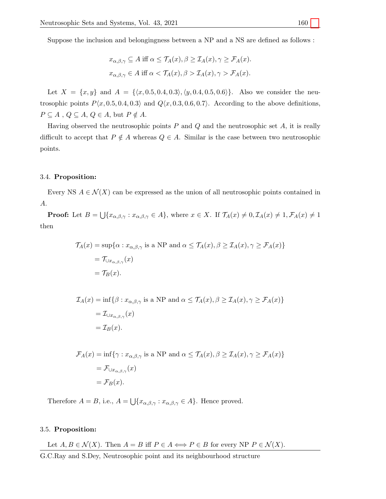Suppose the inclusion and belongingness between a NP and a NS are defined as follows :

$$
x_{\alpha,\beta,\gamma} \subseteq A \text{ iff } \alpha \leq \mathcal{T}_A(x), \beta \geq \mathcal{T}_A(x), \gamma \geq \mathcal{F}_A(x).
$$
  

$$
x_{\alpha,\beta,\gamma} \in A \text{ iff } \alpha < \mathcal{T}_A(x), \beta > \mathcal{T}_A(x), \gamma > \mathcal{F}_A(x).
$$

Let  $X = \{x, y\}$  and  $A = \{\langle x, 0.5, 0.4, 0.3\rangle, \langle y, 0.4, 0.5, 0.6\rangle\}.$  Also we consider the neutrosophic points  $P(x, 0.5, 0.4, 0.3)$  and  $Q(x, 0.3, 0.6, 0.7)$ . According to the above definitions,  $P \subseteq A$ ,  $Q \subseteq A$ ,  $Q \in A$ , but  $P \notin A$ .

Having observed the neutrosophic points  $P$  and  $Q$  and the neutrosophic set  $A$ , it is really difficult to accept that  $P \notin A$  whereas  $Q \in A$ . Similar is the case between two neutrosophic points.

## 3.4. Proposition:

Every NS  $A \in \mathcal{N}(X)$  can be expressed as the union of all neutrosophic points contained in A.

**Proof:** Let  $B = \bigcup \{x_{\alpha,\beta,\gamma} : x_{\alpha,\beta,\gamma} \in A\}$ , where  $x \in X$ . If  $\mathcal{T}_A(x) \neq 0, \mathcal{I}_A(x) \neq 1, \mathcal{F}_A(x) \neq 1$ then

$$
\mathcal{T}_A(x) = \sup \{ \alpha : x_{\alpha, \beta, \gamma} \text{ is a NP and } \alpha \le \mathcal{T}_A(x), \beta \ge \mathcal{T}_A(x), \gamma \ge \mathcal{F}_A(x) \}
$$
  
=  $\mathcal{T}_{\cup x_{\alpha, \beta, \gamma}}(x)$   
=  $\mathcal{T}_B(x)$ .

$$
\mathcal{I}_A(x) = \inf \{ \beta : x_{\alpha, \beta, \gamma} \text{ is a NP and } \alpha \le \mathcal{T}_A(x), \beta \ge \mathcal{I}_A(x), \gamma \ge \mathcal{F}_A(x) \}
$$
  
=  $\mathcal{I}_{\cup x_{\alpha, \beta, \gamma}}(x)$   
=  $\mathcal{I}_B(x)$ .

$$
\mathcal{F}_A(x) = \inf \{ \gamma : x_{\alpha, \beta, \gamma} \text{ is a NP and } \alpha \le \mathcal{T}_A(x), \beta \ge \mathcal{I}_A(x), \gamma \ge \mathcal{F}_A(x) \}
$$
  
=  $\mathcal{F}_{\cup x_{\alpha, \beta, \gamma}}(x)$   
=  $\mathcal{F}_B(x)$ .

Therefore  $A = B$ , i.e.,  $A = \bigcup \{x_{\alpha,\beta,\gamma} : x_{\alpha,\beta,\gamma} \in A\}$ . Hence proved.

## 3.5. Proposition:

Let  $A, B \in \mathcal{N}(X)$ . Then  $A = B$  iff  $P \in A \Longleftrightarrow P \in B$  for every NP  $P \in \mathcal{N}(X)$ .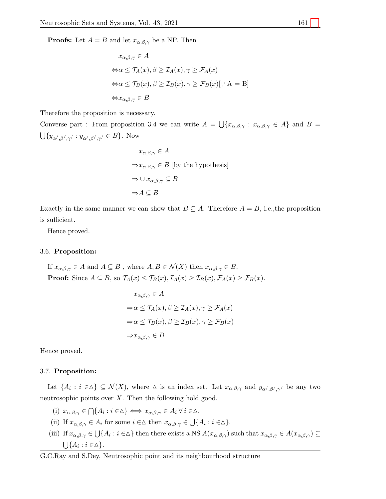**Proofs:** Let  $A = B$  and let  $x_{\alpha,\beta,\gamma}$  be a NP. Then

$$
x_{\alpha,\beta,\gamma} \in A
$$
  
\n
$$
\Leftrightarrow \alpha \le \mathcal{T}_A(x), \beta \ge \mathcal{I}_A(x), \gamma \ge \mathcal{F}_A(x)
$$
  
\n
$$
\Leftrightarrow \alpha \le \mathcal{T}_B(x), \beta \ge \mathcal{I}_B(x), \gamma \ge \mathcal{F}_B(x)[\cdot : A = B]
$$
  
\n
$$
\Leftrightarrow x_{\alpha,\beta,\gamma} \in B
$$

Therefore the proposition is necessary.

Converse part : From proposition 3.4 we can write  $A = \bigcup \{x_{\alpha,\beta,\gamma} : x_{\alpha,\beta,\gamma} \in A\}$  and  $B =$  $\bigcup \{y_{\alpha',\beta',\gamma'} : y_{\alpha',\beta',\gamma'} \in B\}.$  Now

$$
x_{\alpha,\beta,\gamma} \in A
$$
  
\n
$$
\Rightarrow x_{\alpha,\beta,\gamma} \in B \text{ [by the hypothesis]}
$$
  
\n
$$
\Rightarrow \cup x_{\alpha,\beta,\gamma} \subseteq B
$$
  
\n
$$
\Rightarrow A \subseteq B
$$

Exactly in the same manner we can show that  $B \subseteq A$ . Therefore  $A = B$ , i.e., the proposition is sufficient.

Hence proved.

#### 3.6. Proposition:

If  $x_{\alpha,\beta,\gamma} \in A$  and  $A \subseteq B$ , where  $A, B \in \mathcal{N}(X)$  then  $x_{\alpha,\beta,\gamma} \in B$ . **Proof:** Since  $A \subseteq B$ , so  $\mathcal{T}_A(x) \leq \mathcal{T}_B(x)$ ,  $\mathcal{I}_A(x) \geq \mathcal{I}_B(x)$ ,  $\mathcal{F}_A(x) \geq \mathcal{F}_B(x)$ .

$$
x_{\alpha,\beta,\gamma} \in A
$$
  
\n
$$
\Rightarrow \alpha \le \mathcal{T}_A(x), \beta \ge \mathcal{T}_A(x), \gamma \ge \mathcal{F}_A(x)
$$
  
\n
$$
\Rightarrow \alpha \le \mathcal{T}_B(x), \beta \ge \mathcal{T}_B(x), \gamma \ge \mathcal{F}_B(x)
$$
  
\n
$$
\Rightarrow x_{\alpha,\beta,\gamma} \in B
$$

Hence proved.

## 3.7. Proposition:

Let  $\{A_i : i \in \Delta\} \subseteq \mathcal{N}(X)$ , where  $\Delta$  is an index set. Let  $x_{\alpha,\beta,\gamma}$  and  $y_{\alpha',\beta',\gamma'}$  be any two neutrosophic points over  $X$ . Then the following hold good.

(i)  $x_{\alpha,\beta,\gamma} \in \bigcap \{A_i : i \in \Delta\} \iff x_{\alpha,\beta,\gamma} \in A_i \ \forall \ i \in \Delta.$ 

- (ii) If  $x_{\alpha,\beta,\gamma} \in A_i$  for some  $i \in \Delta$  then  $x_{\alpha,\beta,\gamma} \in \bigcup \{A_i : i \in \Delta\}.$
- (iii) If  $x_{\alpha,\beta,\gamma} \in \bigcup \{A_i : i \in \Delta\}$  then there exists a NS  $A(x_{\alpha,\beta,\gamma})$  such that  $x_{\alpha,\beta,\gamma} \in A(x_{\alpha,\beta,\gamma}) \subseteq$  $\bigcup \{A_i : i \in \Delta\}.$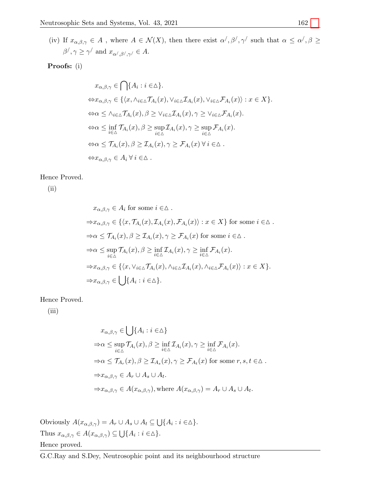(iv) If  $x_{\alpha,\beta,\gamma} \in A$ , where  $A \in \mathcal{N}(X)$ , then there exist  $\alpha', \beta', \gamma'$  such that  $\alpha \le \alpha', \beta \ge$  $\beta^{\prime}, \gamma \geq \gamma^{\prime}$  and  $x_{\alpha^{\prime}, \beta^{\prime}, \gamma^{\prime}} \in A.$ 

# Proofs: (i)

$$
x_{\alpha,\beta,\gamma} \in \bigcap \{A_i : i \in \Delta\}.
$$
  
\n
$$
\Leftrightarrow x_{\alpha,\beta,\gamma} \in \{ \langle x, \wedge_{i \in \Delta} \mathcal{T}_{A_i}(x), \vee_{i \in \Delta} \mathcal{T}_{A_i}(x), \vee_{i \in \Delta} \mathcal{F}_{A_i}(x) \rangle : x \in X \}.
$$
  
\n
$$
\Leftrightarrow \alpha \leq \wedge_{i \in \Delta} \mathcal{T}_{A_i}(x), \beta \geq \vee_{i \in \Delta} \mathcal{T}_{A_i}(x), \gamma \geq \vee_{i \in \Delta} \mathcal{F}_{A_i}(x).
$$
  
\n
$$
\Leftrightarrow \alpha \leq \inf_{i \in \Delta} \mathcal{T}_{A_i}(x), \beta \geq \sup_{i \in \Delta} \mathcal{T}_{A_i}(x), \gamma \geq \sup_{i \in \Delta} \mathcal{F}_{A_i}(x).
$$
  
\n
$$
\Leftrightarrow \alpha \leq \mathcal{T}_{A_i}(x), \beta \geq \mathcal{T}_{A_i}(x), \gamma \geq \mathcal{F}_{A_i}(x) \ \forall \ i \in \Delta.
$$
  
\n
$$
\Leftrightarrow x_{\alpha,\beta,\gamma} \in A_i \ \forall \ i \in \Delta.
$$

## Hence Proved.

(ii)

$$
x_{\alpha,\beta,\gamma} \in A_i \text{ for some } i \in \Delta.
$$
  
\n
$$
\Rightarrow x_{\alpha,\beta,\gamma} \in \{ \langle x, \mathcal{T}_{A_i}(x), \mathcal{T}_{A_i}(x), \mathcal{F}_{A_i}(x) \rangle : x \in X \} \text{ for some } i \in \Delta.
$$
  
\n
$$
\Rightarrow \alpha \leq \mathcal{T}_{A_i}(x), \beta \geq \mathcal{T}_{A_i}(x), \gamma \geq \mathcal{F}_{A_i}(x) \text{ for some } i \in \Delta.
$$
  
\n
$$
\Rightarrow \alpha \leq \sup_{i \in \Delta} \mathcal{T}_{A_i}(x), \beta \geq \inf_{i \in \Delta} \mathcal{T}_{A_i}(x), \gamma \geq \inf_{i \in \Delta} \mathcal{F}_{A_i}(x).
$$
  
\n
$$
\Rightarrow x_{\alpha,\beta,\gamma} \in \{ \langle x, \forall_{i \in \Delta} \mathcal{T}_{A_i}(x), \land_{i \in \Delta} \mathcal{T}_{A_i}(x), \land_{i \in \Delta} \mathcal{F}_{A_i}(x) \rangle : x \in X \}.
$$
  
\n
$$
\Rightarrow x_{\alpha,\beta,\gamma} \in \bigcup \{ A_i : i \in \Delta \}.
$$

Hence Proved.

(iii)

$$
x_{\alpha,\beta,\gamma} \in \bigcup \{ A_i : i \in \Delta \}
$$
  
\n
$$
\Rightarrow \alpha \le \sup_{i \in \Delta} \mathcal{T}_{A_i}(x), \beta \ge \inf_{i \in \Delta} \mathcal{T}_{A_i}(x), \gamma \ge \inf_{i \in \Delta} \mathcal{F}_{A_i}(x).
$$
  
\n
$$
\Rightarrow \alpha \le \mathcal{T}_{A_r}(x), \beta \ge \mathcal{T}_{A_s}(x), \gamma \ge \mathcal{F}_{A_t}(x) \text{ for some } r, s, t \in \Delta .
$$
  
\n
$$
\Rightarrow x_{\alpha,\beta,\gamma} \in A_r \cup A_s \cup A_t.
$$
  
\n
$$
\Rightarrow x_{\alpha,\beta,\gamma} \in A(x_{\alpha,\beta,\gamma}), \text{where } A(x_{\alpha,\beta,\gamma}) = A_r \cup A_s \cup A_t.
$$

Obviously  $A(x_{\alpha,\beta,\gamma}) = A_r \cup A_s \cup A_t \subseteq \bigcup \{A_i : i \in \Delta\}.$ Thus  $x_{\alpha,\beta,\gamma} \in A(x_{\alpha,\beta,\gamma}) \subseteq \bigcup \{A_i : i \in \Delta\}.$ Hence proved.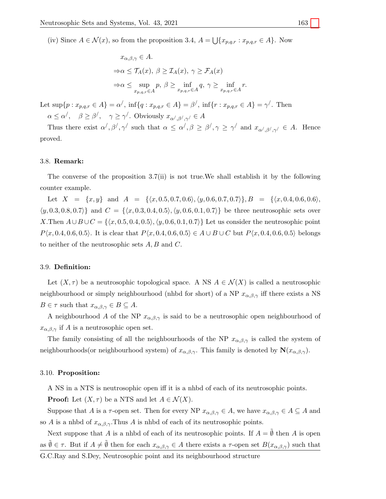(iv) Since  $A \in \mathcal{N}(x)$ , so from the proposition 3.4,  $A = \bigcup \{x_{p,q,r} : x_{p,q,r} \in A\}$ . Now

$$
x_{\alpha,\beta,\gamma} \in A.
$$
  
\n
$$
\Rightarrow \alpha \le \mathcal{T}_A(x), \ \beta \ge \mathcal{I}_A(x), \ \gamma \ge \mathcal{F}_A(x)
$$
  
\n
$$
\Rightarrow \alpha \le \sup_{x_{p,q,r} \in A} p, \ \beta \ge \inf_{x_{p,q,r} \in A} q, \ \gamma \ge \inf_{x_{p,q,r} \in A} r.
$$

Let  $\sup\{p : x_{p,q,r} \in A\} = \alpha'$ ,  $\inf\{q : x_{p,q,r} \in A\} = \beta'$ ,  $\inf\{r : x_{p,q,r} \in A\} = \gamma'$ . Then  $\alpha \leq \alpha', \quad \beta \geq \beta', \quad \gamma \geq \gamma'.$  Obviously  $x_{\alpha', \beta', \gamma'} \in A$ 

Thus there exist  $\alpha', \beta', \gamma'$  such that  $\alpha \leq \alpha', \beta \geq \beta', \gamma \geq \gamma'$  and  $x_{\alpha', \beta', \gamma'} \in A$ . Hence proved.

#### 3.8. Remark:

The converse of the proposition 3.7(ii) is not true.We shall establish it by the following counter example.

Let  $X = \{x, y\}$  and  $A = \{(x, 0.5, 0.7, 0.6), (y, 0.6, 0.7, 0.7)\}\$ ,  $B = \{(x, 0.4, 0.6, 0.6), (y, 0.6, 0.7, 0.7)\}\$  $\{(y, 0.3, 0.8, 0.7)\}\$ and  $C = \{(x, 0.3, 0.4, 0.5), (y, 0.6, 0.1, 0.7)\}\$ be three neutrosophic sets over X.Then  $A \cup B \cup C = \{\langle x, 0.5, 0.4, 0.5 \rangle, \langle y, 0.6, 0.1, 0.7 \rangle\}$  Let us consider the neutrosophic point  $P(x, 0.4, 0.6, 0.5)$ . It is clear that  $P(x, 0.4, 0.6, 0.5) \in A \cup B \cup C$  but  $P(x, 0.4, 0.6, 0.5)$  belongs to neither of the neutrosophic sets  $A, B$  and  $C$ .

#### 3.9. Definition:

Let  $(X, \tau)$  be a neutrosophic topological space. A NS  $A \in \mathcal{N}(X)$  is called a neutrosophic neighbourhood or simply neighbourhood (nhbd for short) of a NP  $x_{\alpha,\beta,\gamma}$  iff there exists a NS  $B \in \tau$  such that  $x_{\alpha,\beta,\gamma} \in B \subseteq A$ .

A neighbourhood A of the NP  $x_{\alpha,\beta,\gamma}$  is said to be a neutrosophic open neighbourhood of  $x_{\alpha,\beta,\gamma}$  if A is a neutrosophic open set.

The family consisting of all the neighbourhoods of the NP  $x_{\alpha,\beta,\gamma}$  is called the system of neighbourhoods(or neighbourhood system) of  $x_{\alpha,\beta,\gamma}$ . This family is denoted by  $\mathbf{N}(x_{\alpha,\beta,\gamma})$ .

#### 3.10. Proposition:

A NS in a NTS is neutrosophic open iff it is a nhbd of each of its neutrosophic points.

**Proof:** Let  $(X, \tau)$  be a NTS and let  $A \in \mathcal{N}(X)$ .

Suppose that A is a  $\tau$ -open set. Then for every NP  $x_{\alpha,\beta,\gamma} \in A$ , we have  $x_{\alpha,\beta,\gamma} \in A \subseteq A$  and so A is a nhbd of  $x_{\alpha,\beta,\gamma}$ . Thus A is nhbd of each of its neutrosophic points.

Next suppose that A is a nhbd of each of its neutrosophic points. If  $A = \emptyset$  then A is open as  $\tilde{\emptyset} \in \tau$ . But if  $A \neq \tilde{\emptyset}$  then for each  $x_{\alpha,\beta,\gamma} \in A$  there exists a  $\tau$ -open set  $B(x_{\alpha,\beta,\gamma})$  such that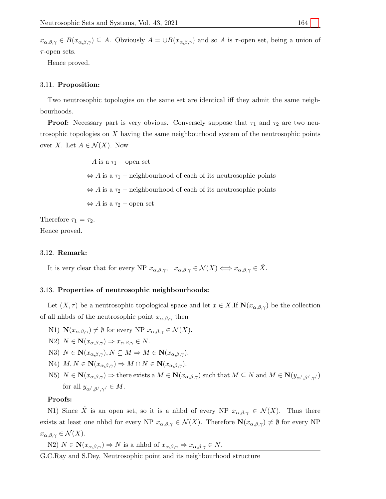$x_{\alpha,\beta,\gamma} \in B(x_{\alpha,\beta,\gamma}) \subseteq A$ . Obviously  $A = \cup B(x_{\alpha,\beta,\gamma})$  and so A is  $\tau$ -open set, being a union of  $\tau$ -open sets.

Hence proved.

#### 3.11. Proposition:

Two neutrosophic topologies on the same set are identical iff they admit the same neighbourhoods.

**Proof:** Necessary part is very obvious. Conversely suppose that  $\tau_1$  and  $\tau_2$  are two neutrosophic topologies on X having the same neighbourhood system of the neutrosophic points over X. Let  $A \in \mathcal{N}(X)$ . Now

> A is a  $\tau_1$  – open set  $\Leftrightarrow$  A is a  $\tau_1$  – neighbourhood of each of its neutrosophic points  $\Leftrightarrow$  A is a  $\tau_2$  – neighbourhood of each of its neutrosophic points  $\Leftrightarrow$  A is a  $\tau_2$  – open set

Therefore  $\tau_1 = \tau_2$ . Hence proved.

## 3.12. Remark:

It is very clear that for every NP  $x_{\alpha,\beta,\gamma}$ ,  $x_{\alpha,\beta,\gamma} \in \mathcal{N}(X) \Longleftrightarrow x_{\alpha,\beta,\gamma} \in \tilde{X}$ .

## 3.13. Properties of neutrosophic neighbourhoods:

Let  $(X, \tau)$  be a neutrosophic topological space and let  $x \in X$ . If  $\mathbf{N}(x_{\alpha,\beta,\gamma})$  be the collection of all nhbds of the neutrosophic point  $x_{\alpha,\beta,\gamma}$  then

- N1)  $\mathbf{N}(x_{\alpha,\beta,\gamma}) \neq \emptyset$  for every NP  $x_{\alpha,\beta,\gamma} \in \mathcal{N}(X)$ .
- N2)  $N \in \mathbf{N}(x_{\alpha,\beta,\gamma}) \Rightarrow x_{\alpha,\beta,\gamma} \in N$ .
- N3)  $N \in \mathbf{N}(x_{\alpha,\beta,\gamma}), N \subseteq M \Rightarrow M \in \mathbf{N}(x_{\alpha,\beta,\gamma}).$
- N4)  $M, N \in \mathbf{N}(x_{\alpha,\beta,\gamma}) \Rightarrow M \cap N \in \mathbf{N}(x_{\alpha,\beta,\gamma}).$
- N5)  $N \in \mathbf{N}(x_{\alpha,\beta,\gamma}) \Rightarrow$  there exists a  $M \in \mathbf{N}(x_{\alpha,\beta,\gamma})$  such that  $M \subseteq N$  and  $M \in \mathbf{N}(y_{\alpha',\beta',\gamma'})$ for all  $y_{\alpha',\beta',\gamma'} \in M$ .

## Proofs:

N1) Since X is an open set, so it is a nhbd of every NP  $x_{\alpha,\beta,\gamma} \in \mathcal{N}(X)$ . Thus there exists at least one nhbd for every NP  $x_{\alpha,\beta,\gamma} \in \mathcal{N}(X)$ . Therefore  $\mathbf{N}(x_{\alpha,\beta,\gamma}) \neq \emptyset$  for every NP  $x_{\alpha,\beta,\gamma}\in\mathcal{N}(X).$ 

N2)  $N \in \mathbf{N}(x_{\alpha,\beta,\gamma}) \Rightarrow N$  is a nhbd of  $x_{\alpha,\beta,\gamma} \Rightarrow x_{\alpha,\beta,\gamma} \in N$ .

G.C.Ray and S.Dey, Neutrosophic point and its neighbourhood structure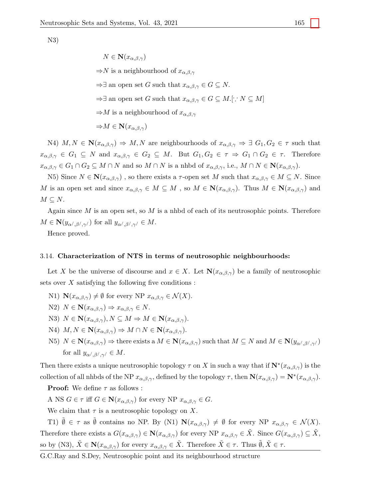N3)

$$
N \in \mathbf{N}(x_{\alpha,\beta,\gamma})
$$

 $\Rightarrow$ N is a neighbourhood of  $x_{\alpha,\beta,\gamma}$ 

 $\Rightarrow$  ∃ an open set G such that  $x_{\alpha,\beta,\gamma} \in G \subseteq N$ .

 $\Rightarrow$  ∃ an open set G such that  $x_{\alpha,\beta,\gamma} \in G \subseteq M$ .[ $\therefore N \subseteq M$ ]

 $\Rightarrow$ M is a neighbourhood of  $x_{\alpha,\beta,\gamma}$ 

$$
\Rightarrow M \in \mathbf{N}(x_{\alpha,\beta,\gamma})
$$

N4)  $M, N \in \mathbb{N}(x_{\alpha,\beta,\gamma}) \Rightarrow M, N$  are neighbourhoods of  $x_{\alpha,\beta,\gamma} \Rightarrow \exists G_1, G_2 \in \tau$  such that  $x_{\alpha,\beta,\gamma} \in G_1 \subseteq N$  and  $x_{\alpha,\beta,\gamma} \in G_2 \subseteq M$ . But  $G_1, G_2 \in \tau \Rightarrow G_1 \cap G_2 \in \tau$ . Therefore  $x_{\alpha,\beta,\gamma} \in G_1 \cap G_2 \subseteq M \cap N$  and so  $M \cap N$  is a nhbd of  $x_{\alpha,\beta,\gamma}$ , i.e.,  $M \cap N \in \mathbf{N}(x_{\alpha,\beta,\gamma})$ .

N5) Since  $N \in \mathbb{N}(x_{\alpha,\beta,\gamma})$ , so there exists a  $\tau$ -open set M such that  $x_{\alpha,\beta,\gamma} \in M \subseteq N$ . Since M is an open set and since  $x_{\alpha,\beta,\gamma} \in M \subseteq M$ , so  $M \in \mathbf{N}(x_{\alpha,\beta,\gamma})$ . Thus  $M \in \mathbf{N}(x_{\alpha,\beta,\gamma})$  and  $M \subseteq N$ .

Again since  $M$  is an open set, so  $M$  is a nhbd of each of its neutrosophic points. Therefore  $M \in \mathbf{N}(y_{\alpha',\beta',\gamma'})$  for all  $y_{\alpha',\beta',\gamma'} \in M$ .

Hence proved.

#### 3.14. Characterization of NTS in terms of neutrosophic neighbourhoods:

Let X be the universe of discourse and  $x \in X$ . Let  $\mathbf{N}(x_{\alpha,\beta,\gamma})$  be a family of neutrosophic sets over  $X$  satisfying the following five conditions :

- N1)  $\mathbf{N}(x_{\alpha,\beta,\gamma}) \neq \emptyset$  for every NP  $x_{\alpha,\beta,\gamma} \in \mathcal{N}(X)$ .
- N2)  $N \in \mathbf{N}(x_{\alpha,\beta,\gamma}) \Rightarrow x_{\alpha,\beta,\gamma} \in N$ .
- N3)  $N \in \mathbf{N}(x_{\alpha,\beta,\gamma}), N \subseteq M \Rightarrow M \in \mathbf{N}(x_{\alpha,\beta,\gamma}).$
- N4)  $M, N \in \mathbf{N}(x_{\alpha,\beta,\gamma}) \Rightarrow M \cap N \in \mathbf{N}(x_{\alpha,\beta,\gamma}).$
- N5)  $N \in \mathbf{N}(x_{\alpha,\beta,\gamma}) \Rightarrow$  there exists a  $M \in \mathbf{N}(x_{\alpha,\beta,\gamma})$  such that  $M \subseteq N$  and  $M \in \mathbf{N}(y_{\alpha',\beta',\gamma'})$ for all  $y_{\alpha',\beta',\gamma'} \in M$ .

Then there exists a unique neutrosophic topology  $\tau$  on X in such a way that if  $\mathbf{N}^*(x_{\alpha,\beta,\gamma})$  is the collection of all nhbds of the NP  $x_{\alpha,\beta,\gamma}$ , defined by the topology  $\tau$ , then  $\mathbf{N}(x_{\alpha,\beta,\gamma}) = \mathbf{N}^*(x_{\alpha,\beta,\gamma})$ .

**Proof:** We define  $\tau$  as follows :

A NS  $G \in \tau$  iff  $G \in \mathbf{N}(x_{\alpha,\beta,\gamma})$  for every NP  $x_{\alpha,\beta,\gamma} \in G$ .

We claim that  $\tau$  is a neutrosophic topology on X.

T1)  $\tilde{\emptyset} \in \tau$  as  $\tilde{\emptyset}$  contains no NP. By (N1)  $\mathbf{N}(x_{\alpha,\beta,\gamma}) \neq \emptyset$  for every NP  $x_{\alpha,\beta,\gamma} \in \mathcal{N}(X)$ . Therefore there exists a  $G(x_{\alpha,\beta,\gamma}) \in \mathbf{N}(x_{\alpha,\beta,\gamma})$  for every NP  $x_{\alpha,\beta,\gamma} \in \tilde{X}$ . Since  $G(x_{\alpha,\beta,\gamma}) \subseteq \tilde{X}$ , so by (N3),  $\tilde{X} \in \mathbf{N}(x_{\alpha,\beta,\gamma})$  for every  $x_{\alpha,\beta,\gamma} \in \tilde{X}$ . Therefore  $\tilde{X} \in \tau$ . Thus  $\tilde{\emptyset}, \tilde{X} \in \tau$ .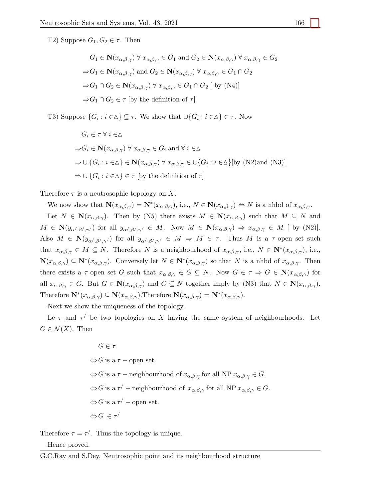T2) Suppose  $G_1, G_2 \in \tau$ . Then

$$
G_1 \in \mathbf{N}(x_{\alpha,\beta,\gamma}) \,\forall\, x_{\alpha,\beta,\gamma} \in G_1 \text{ and } G_2 \in \mathbf{N}(x_{\alpha,\beta,\gamma}) \,\forall\, x_{\alpha,\beta,\gamma} \in G_2
$$
  
\n
$$
\Rightarrow G_1 \in \mathbf{N}(x_{\alpha,\beta,\gamma}) \text{ and } G_2 \in \mathbf{N}(x_{\alpha,\beta,\gamma}) \,\forall\, x_{\alpha,\beta,\gamma} \in G_1 \cap G_2
$$
  
\n
$$
\Rightarrow G_1 \cap G_2 \in \mathbf{N}(x_{\alpha,\beta,\gamma}) \,\forall\, x_{\alpha,\beta,\gamma} \in G_1 \cap G_2 \,[\text{ by (N4)}]
$$
  
\n
$$
\Rightarrow G_1 \cap G_2 \in \tau \,[\text{by the definition of } \tau]
$$

T3) Suppose  $\{G_i : i \in \Delta\} \subseteq \tau$ . We show that  $\cup \{G_i : i \in \Delta\} \in \tau$ . Now

$$
G_i \in \tau \,\forall \, i \in \Delta
$$
  
\n
$$
\Rightarrow G_i \in \mathbf{N}(x_{\alpha,\beta,\gamma}) \,\forall \, x_{\alpha,\beta,\gamma} \in G_i \text{ and } \forall \, i \in \Delta
$$
  
\n
$$
\Rightarrow \cup \{G_i : i \in \Delta\} \in \mathbf{N}(x_{\alpha,\beta,\gamma}) \,\forall \, x_{\alpha,\beta,\gamma} \in \cup \{G_i : i \in \Delta\}[\text{by (N2)and (N3)}]
$$
  
\n
$$
\Rightarrow \cup \{G_i : i \in \Delta\} \in \tau \text{ [by the definition of } \tau\}
$$

Therefore  $\tau$  is a neutrosophic topology on X.

We now show that  $\mathbf{N}(x_{\alpha,\beta,\gamma}) = \mathbf{N}^*(x_{\alpha,\beta,\gamma})$ , i.e.,  $N \in \mathbf{N}(x_{\alpha,\beta,\gamma}) \Leftrightarrow N$  is a nhbd of  $x_{\alpha,\beta,\gamma}$ .

Let  $N \in \mathbb{N}(x_{\alpha,\beta,\gamma})$ . Then by (N5) there exists  $M \in \mathbb{N}(x_{\alpha,\beta,\gamma})$  such that  $M \subseteq N$  and  $M \in \mathbf{N}(y_{\alpha',\beta',\gamma'})$  for all  $y_{\alpha',\beta',\gamma'} \in M$ . Now  $M \in \mathbf{N}(x_{\alpha,\beta,\gamma}) \Rightarrow x_{\alpha,\beta,\gamma} \in M$  [ by (N2)]. Also  $M \in \mathbb{N}(y_{\alpha',\beta',\gamma'})$  for all  $y_{\alpha',\beta',\gamma'} \in M \Rightarrow M \in \tau$ . Thus M is a  $\tau$ -open set such that  $x_{\alpha,\beta,\gamma} \in M \subseteq N$ . Therefore N is a neighbourhood of  $x_{\alpha,\beta,\gamma}$ , i.e.,  $N \in \mathbb{N}^*(x_{\alpha,\beta,\gamma})$ , i.e.,  $\mathbf{N}(x_{\alpha,\beta,\gamma}) \subseteq \mathbf{N}^*(x_{\alpha,\beta,\gamma})$ . Conversely let  $N \in \mathbf{N}^*(x_{\alpha,\beta,\gamma})$  so that N is a nhbd of  $x_{\alpha,\beta,\gamma}$ . Then there exists a  $\tau$ -open set G such that  $x_{\alpha,\beta,\gamma} \in G \subseteq N$ . Now  $G \in \tau \Rightarrow G \in N(x_{\alpha,\beta,\gamma})$  for all  $x_{\alpha,\beta,\gamma} \in G$ . But  $G \in \mathbb{N}(x_{\alpha,\beta,\gamma})$  and  $G \subseteq N$  together imply by (N3) that  $N \in \mathbb{N}(x_{\alpha,\beta,\gamma})$ . Therefore  $\mathbf{N}^*(x_{\alpha,\beta,\gamma}) \subseteq \mathbf{N}(x_{\alpha,\beta,\gamma})$ . Therefore  $\mathbf{N}(x_{\alpha,\beta,\gamma}) = \mathbf{N}^*(x_{\alpha,\beta,\gamma})$ .

Next we show the uniqueness of the topology.

Le  $\tau$  and  $\tau'$  be two topologies on X having the same system of neighbourhoods. Let  $G \in \mathcal{N}(X)$ . Then

$$
G \in \tau.
$$
  
\n
$$
\Leftrightarrow G \text{ is a } \tau-\text{ open set.}
$$
  
\n
$$
\Leftrightarrow G \text{ is a } \tau-\text{neighborhood of } x_{\alpha,\beta,\gamma} \text{ for all NP } x_{\alpha,\beta,\gamma} \in G.
$$
  
\n
$$
\Leftrightarrow G \text{ is a } \tau'-\text{neighborhood of } x_{\alpha,\beta,\gamma} \text{ for all NP } x_{\alpha,\beta,\gamma} \in G.
$$
  
\n
$$
\Leftrightarrow G \text{ is a } \tau'-\text{ open set.}
$$
  
\n
$$
\Leftrightarrow G \in \tau'
$$

Therefore  $\tau = \tau'$ . Thus the topology is unique.

## Hence proved.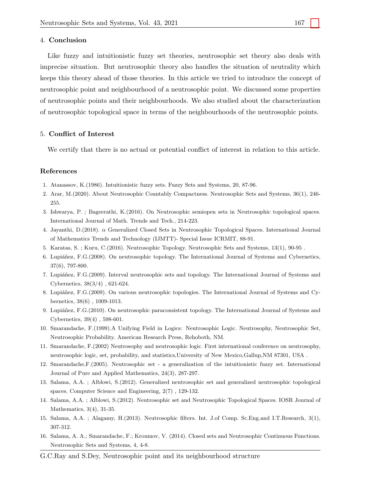#### 4. Conclusion

Like fuzzy and intuitionistic fuzzy set theories, neutrosophic set theory also deals with imprecise situation. But neutrosophic theory also handles the situation of neutrality which keeps this theory ahead of those theories. In this article we tried to introduce the concept of neutrosophic point and neighbourhood of a neutrosophic point. We discussed some properties of neutrosophic points and their neighbourhoods. We also studied about the characterization of neutrosophic topological space in terms of the neighbourhoods of the neutrosophic points.

#### 5. Conflict of Interest

We certify that there is no actual or potential conflict of interest in relation to this article.

#### References

- <span id="page-11-2"></span>1. Atanassov, K.(1986). Intuitionistic fuzzy sets. Fuzzy Sets and Systems, 20, 87-96.
- <span id="page-11-12"></span>2. Arar, M.(2020). About Neutrosophic Countably Compactness. Neutrosophic Sets and Systems, 36(1), 246- 255.
- 3. Ishwarya, P. ; Bageerathi, K.(2016). On Neutrosophic semiopen sets in Neutrosophic topological spaces. International Journal of Math. Trends and Tech., 214-223.
- <span id="page-11-13"></span>4. Jayanthi, D.(2018). α Generalized Closed Sets in Neutrosophic Topological Spaces. International Journal of Mathematics Trends and Technology (IJMTT)- Special Issue ICRMIT, 88-91.
- <span id="page-11-14"></span>5. Karatas, S. ; Kuru, C.(2016). Neutrosophic Topology. Neutrosophic Sets and Systems, 13(1), 90-95 .
- <span id="page-11-6"></span>6. Lupiáñez, F.G.(2008). On neutrosophic topology. The International Journal of Systems and Cybernetics, 37(6), 797-800.
- <span id="page-11-9"></span>7. Lupiáñez, F.G.(2009). Interval neutrosophic sets and topology. The International Journal of Systems and Cybernetics, 38(3/4) , 621-624.
- <span id="page-11-7"></span>8. Lupiáñez, F.G.(2009). On various neutrosophic topologies. The International Journal of Systems and Cybernetics, 38(6) , 1009-1013.
- <span id="page-11-8"></span>9. Lupiáñez, F.G.(2010). On neutrosophic paraconsistent topology. The International Journal of Systems and Cybernetics, 39(4) , 598-601.
- <span id="page-11-0"></span>10. Smarandache, F.(1999).A Unifying Field in Logics: Neutrosophic Logic. Neutrosophy, Neutrosophic Set, Neutrosophic Probability. American Research Press, Rehoboth, NM.
- <span id="page-11-5"></span>11. Smarandache, F.(2002) Neutrosophy and neutrosophic logic. First international conference on neutrosophy, neutrosophic logic, set, probability, and statistics,University of New Mexico,Gallup,NM 87301, USA .
- <span id="page-11-1"></span>12. Smarandache,F.(2005). Neutrosophic set - a generalization of the intuitionistic fuzzy set. International Journal of Pure and Applied Mathematics, 24(3), 287-297.
- <span id="page-11-3"></span>13. Salama, A.A. ; Alblowi, S.(2012). Generalized neutrosophic set and generalized neutrosophic topological spaces. Computer Science and Engineering, 2(7) , 129-132.
- <span id="page-11-4"></span>14. Salama, A.A. ; Alblowi, S.(2012). Neutrosophic set and Neutrosophic Topological Spaces. IOSR Journal of Mathematics, 3(4), 31-35.
- <span id="page-11-10"></span>15. Salama, A.A. ; Alagamy, H.(2013). Neutrosophic filters. Int. J.of Comp. Sc.Eng.and I.T.Research, 3(1), 307-312.
- <span id="page-11-11"></span>16. Salama, A. A.; Smarandache, F.; Kroumov, V. (2014). Closed sets and Neutrosophic Continuous Functions. Neutrosophic Sets and Systems, 4, 4-8.
- G.C.Ray and S.Dey, Neutrosophic point and its neighbourhood structure